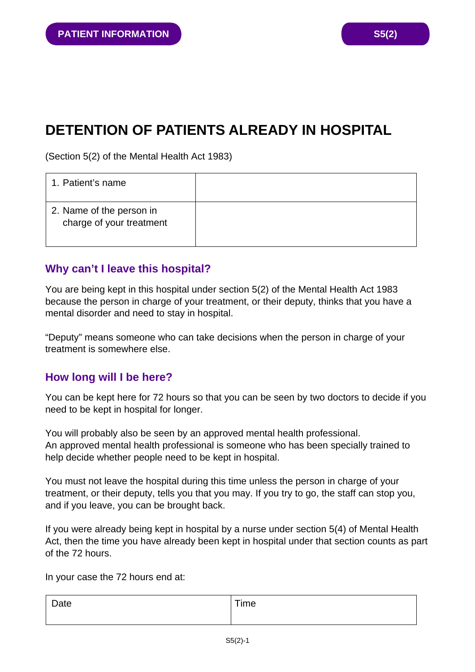# **DETENTION OF PATIENTS ALREADY IN HOSPITAL**

(Section 5(2) of the Mental Health Act 1983)

| 1. Patient's name                                    |  |
|------------------------------------------------------|--|
| 2. Name of the person in<br>charge of your treatment |  |

# **Why can't I leave this hospital?**

You are being kept in this hospital under section 5(2) of the Mental Health Act 1983 because the person in charge of your treatment, or their deputy, thinks that you have a mental disorder and need to stay in hospital.

"Deputy" means someone who can take decisions when the person in charge of your treatment is somewhere else.

## **How long will I be here?**

You can be kept here for 72 hours so that you can be seen by two doctors to decide if you need to be kept in hospital for longer.

You will probably also be seen by an approved mental health professional. An approved mental health professional is someone who has been specially trained to help decide whether people need to be kept in hospital.

You must not leave the hospital during this time unless the person in charge of your treatment, or their deputy, tells you that you may. If you try to go, the staff can stop you, and if you leave, you can be brought back.

If you were already being kept in hospital by a nurse under section 5(4) of Mental Health Act, then the time you have already been kept in hospital under that section counts as part of the 72 hours.

In your case the 72 hours end at:

| Date | Time |
|------|------|
|      |      |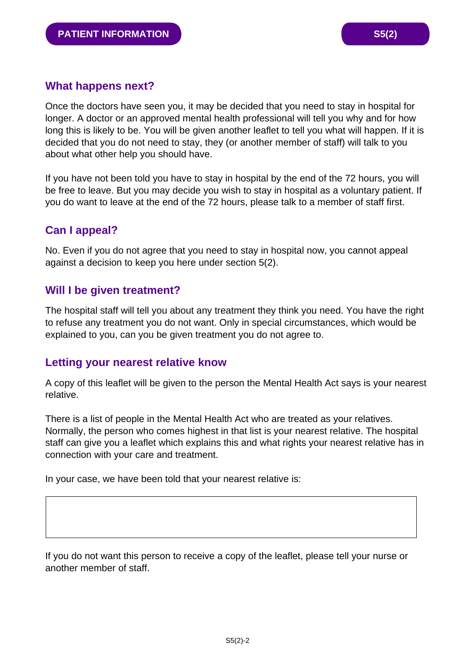#### **What happens next?**

Once the doctors have seen you, it may be decided that you need to stay in hospital for longer. A doctor or an approved mental health professional will tell you why and for how long this is likely to be. You will be given another leaflet to tell you what will happen. If it is decided that you do not need to stay, they (or another member of staff) will talk to you about what other help you should have.

If you have not been told you have to stay in hospital by the end of the 72 hours, you will be free to leave. But you may decide you wish to stay in hospital as a voluntary patient. If you do want to leave at the end of the 72 hours, please talk to a member of staff first.

# **Can I appeal?**

No. Even if you do not agree that you need to stay in hospital now, you cannot appeal against a decision to keep you here under section 5(2).

## **Will I be given treatment?**

The hospital staff will tell you about any treatment they think you need. You have the right to refuse any treatment you do not want. Only in special circumstances, which would be explained to you, can you be given treatment you do not agree to.

#### **Letting your nearest relative know**

A copy of this leaflet will be given to the person the Mental Health Act says is your nearest relative.

There is a list of people in the Mental Health Act who are treated as your relatives. Normally, the person who comes highest in that list is your nearest relative. The hospital staff can give you a leaflet which explains this and what rights your nearest relative has in connection with your care and treatment.

In your case, we have been told that your nearest relative is:

If you do not want this person to receive a copy of the leaflet, please tell your nurse or another member of staff.